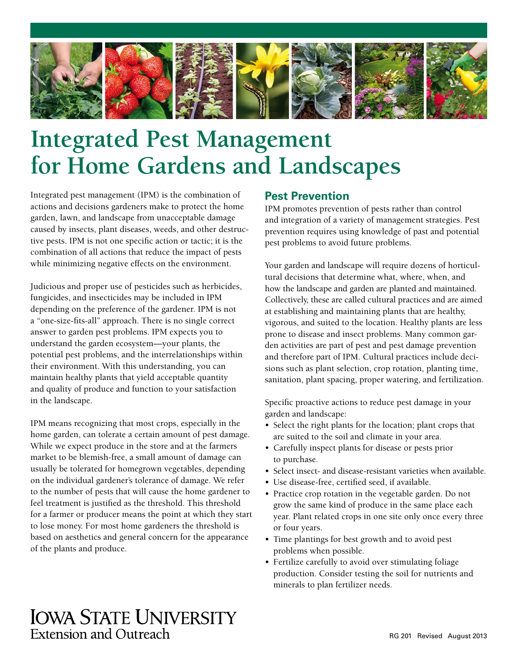

# **Integrated Pest Management for Home Gardens and Landscapes**

Integrated pest management (IPM) is the combination of actions and decisions gardeners make to protect the home garden, lawn, and landscape from unacceptable damage caused by insects, plant diseases, weeds, and other destructive pests. IPM is not one specific action or tactic; it is the combination of all actions that reduce the impact of pests while minimizing negative effects on the environment.

Judicious and proper use of pesticides such as herbicides, fungicides, and insecticides may be included in IPM depending on the preference of the gardener. IPM is not a "one-size-fits-all" approach. There is no single correct answer to garden pest problems. IPM expects you to understand the garden ecosystem—your plants, the potential pest problems, and the interrelationships within their environment. With this understanding, you can maintain healthy plants that yield acceptable quantity and quality of produce and function to your satisfaction in the landscape.

IPM means recognizing that most crops, especially in the home garden, can tolerate a certain amount of pest damage. While we expect produce in the store and at the farmers market to be blemish-free, a small amount of damage can usually be tolerated for homegrown vegetables, depending on the individual gardener's tolerance of damage. We refer to the number of pests that will cause the home gardener to feel treatment is justified as the threshold. This threshold for a farmer or producer means the point at which they start to lose money. For most home gardeners the threshold is based on aesthetics and general concern for the appearance of the plants and produce.

#### **Pest Prevention**

IPM promotes prevention of pests rather than control and integration of a variety of management strategies. Pest prevention requires using knowledge of past and potential pest problems to avoid future problems.

Your garden and landscape will require dozens of horticultural decisions that determine what, where, when, and how the landscape and garden are planted and maintained. Collectively, these are called cultural practices and are aimed at establishing and maintaining plants that are healthy, vigorous, and suited to the location. Healthy plants are less prone to disease and insect problems. Many common garden activities are part of pest and pest damage prevention and therefore part of IPM. Cultural practices include decisions such as plant selection, crop rotation, planting time, sanitation, plant spacing, proper watering, and fertilization.

Specific proactive actions to reduce pest damage in your garden and landscape:

- Select the right plants for the location; plant crops that are suited to the soil and climate in your area.
- Carefully inspect plants for disease or pests prior to purchase.
- Select insect- and disease-resistant varieties when available.
- Use disease-free, certified seed, if available.
- Practice crop rotation in the vegetable garden. Do not grow the same kind of produce in the same place each year. Plant related crops in one site only once every three or four years.
- Time plantings for best growth and to avoid pest problems when possible.
- Fertilize carefully to avoid over stimulating foliage production. Consider testing the soil for nutrients and minerals to plan fertilizer needs.

## **IOWA STATE UNIVERSITY** Extension and Outreach